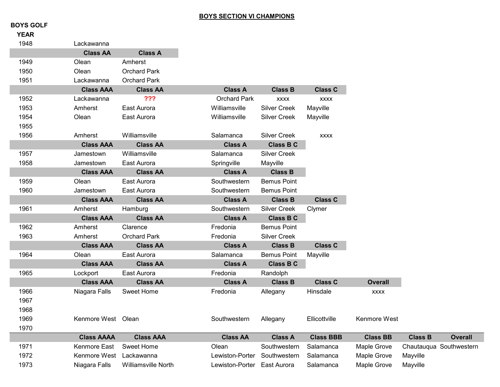## **BOYS SECTION VI CHAMPIONS**

## **BOYS GOLF**

| <b>YEAR</b> |                         |                     |                             |                     |                  |                 |                |                         |
|-------------|-------------------------|---------------------|-----------------------------|---------------------|------------------|-----------------|----------------|-------------------------|
| 1948        | Lackawanna              |                     |                             |                     |                  |                 |                |                         |
|             | <b>Class AA</b>         | <b>Class A</b>      |                             |                     |                  |                 |                |                         |
| 1949        | Olean                   | Amherst             |                             |                     |                  |                 |                |                         |
| 1950        | Olean                   | <b>Orchard Park</b> |                             |                     |                  |                 |                |                         |
| 1951        | Lackawanna              | <b>Orchard Park</b> |                             |                     |                  |                 |                |                         |
|             | <b>Class AAA</b>        | <b>Class AA</b>     | <b>Class A</b>              | <b>Class B</b>      | <b>Class C</b>   |                 |                |                         |
| 1952        | Lackawanna              | ???                 | <b>Orchard Park</b>         | <b>XXXX</b>         | <b>XXXX</b>      |                 |                |                         |
| 1953        | Amherst                 | East Aurora         | Williamsville               | <b>Silver Creek</b> | Mayville         |                 |                |                         |
| 1954        | Olean                   | East Aurora         | Williamsville               | <b>Silver Creek</b> | Mayville         |                 |                |                         |
| 1955        |                         |                     |                             |                     |                  |                 |                |                         |
| 1956        | Amherst                 | Williamsville       | Salamanca                   | <b>Silver Creek</b> | <b>XXXX</b>      |                 |                |                         |
|             | <b>Class AAA</b>        | <b>Class AA</b>     | <b>Class A</b>              | <b>Class B C</b>    |                  |                 |                |                         |
| 1957        | Jamestown               | Williamsville       | Salamanca                   | <b>Silver Creek</b> |                  |                 |                |                         |
| 1958        | Jamestown               | East Aurora         | Springville                 | Mayville            |                  |                 |                |                         |
|             | <b>Class AAA</b>        | <b>Class AA</b>     | <b>Class A</b>              | <b>Class B</b>      |                  |                 |                |                         |
| 1959        | Olean                   | East Aurora         | Southwestern                | <b>Bemus Point</b>  |                  |                 |                |                         |
| 1960        | Jamestown               | East Aurora         | Southwestern                | <b>Bemus Point</b>  |                  |                 |                |                         |
|             | <b>Class AAA</b>        | <b>Class AA</b>     | <b>Class A</b>              | <b>Class B</b>      | <b>Class C</b>   |                 |                |                         |
| 1961        | Amherst                 | Hamburg             | Southwestern                | <b>Silver Creek</b> | Clymer           |                 |                |                         |
|             | <b>Class AAA</b>        | <b>Class AA</b>     | <b>Class A</b>              | <b>Class B C</b>    |                  |                 |                |                         |
| 1962        | Amherst                 | Clarence            | Fredonia                    | <b>Bemus Point</b>  |                  |                 |                |                         |
| 1963        | Amherst                 | <b>Orchard Park</b> | Fredonia                    | <b>Silver Creek</b> |                  |                 |                |                         |
|             | <b>Class AAA</b>        | <b>Class AA</b>     | <b>Class A</b>              | <b>Class B</b>      | <b>Class C</b>   |                 |                |                         |
| 1964        | Olean                   | East Aurora         | Salamanca                   | <b>Bemus Point</b>  | Mayville         |                 |                |                         |
|             | <b>Class AAA</b>        | <b>Class AA</b>     | <b>Class A</b>              | <b>Class B C</b>    |                  |                 |                |                         |
| 1965        | Lockport                | East Aurora         | Fredonia                    | Randolph            |                  |                 |                |                         |
|             | <b>Class AAA</b>        | <b>Class AA</b>     | <b>Class A</b>              | <b>Class B</b>      | <b>Class C</b>   | <b>Overall</b>  |                |                         |
| 1966        | Niagara Falls           | <b>Sweet Home</b>   | Fredonia                    | Allegany            | Hinsdale         | <b>XXXX</b>     |                |                         |
| 1967        |                         |                     |                             |                     |                  |                 |                |                         |
| 1968        |                         |                     |                             |                     |                  |                 |                |                         |
| 1969        | Kenmore West Olean      |                     | Southwestern                | Allegany            | Ellicottville    | Kenmore West    |                |                         |
| 1970        |                         |                     |                             |                     |                  |                 |                |                         |
|             | <b>Class AAAA</b>       | <b>Class AAA</b>    | <b>Class AA</b>             | <b>Class A</b>      | <b>Class BBB</b> | <b>Class BB</b> | <b>Class B</b> | <b>Overall</b>          |
| 1971        | Kenmore East            | <b>Sweet Home</b>   | Olean                       | Southwestern        | Salamanca        | Maple Grove     |                | Chautauqua Southwestern |
| 1972        | Kenmore West Lackawanna |                     | Lewiston-Porter             | Southwestern        | Salamanca        | Maple Grove     | Mayville       |                         |
| 1973        | Niagara Falls           | Williamsville North | Lewiston-Porter East Aurora |                     | Salamanca        | Maple Grove     | Mayville       |                         |